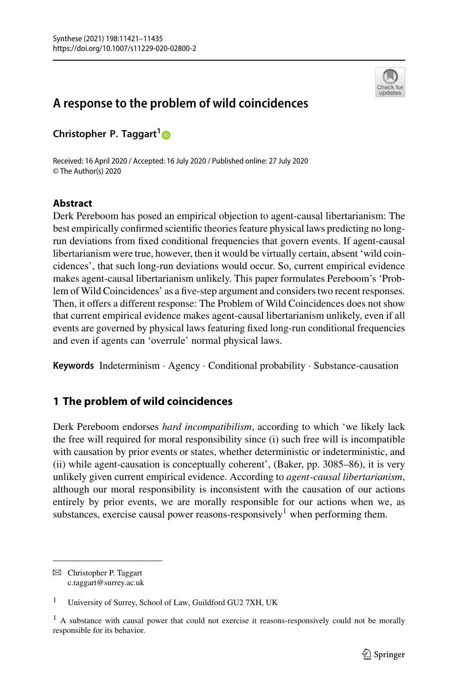

# **A response to the problem of wild coincidences**

**Christopher P. Taggart[1](http://orcid.org/0000-0002-0410-7564)**

Received: 16 April 2020 / Accepted: 16 July 2020 / Published online: 27 July 2020 © The Author(s) 2020

# **Abstract**

Derk Pereboom has posed an empirical objection to agent-causal libertarianism: The best empirically confirmed scientific theories feature physical laws predicting no longrun deviations from fixed conditional frequencies that govern events. If agent-causal libertarianism were true, however, then it would be virtually certain, absent 'wild coincidences', that such long-run deviations would occur. So, current empirical evidence makes agent-causal libertarianism unlikely. This paper formulates Pereboom's 'Problem of Wild Coincidences' as a five-step argument and considers two recent responses. Then, it offers a different response: The Problem of Wild Coincidences does not show that current empirical evidence makes agent-causal libertarianism unlikely, even if all events are governed by physical laws featuring fixed long-run conditional frequencies and even if agents can 'overrule' normal physical laws.

**Keywords** Indeterminism · Agency · Conditional probability · Substance-causation

# **1 The problem of wild coincidences**

Derk Pereboom endorses *hard incompatibilism*, according to which 'we likely lack the free will required for moral responsibility since (i) such free will is incompatible with causation by prior events or states, whether deterministic or indeterministic, and (ii) while agent-causation is conceptually coherent', (Baker, pp. 3085–86), it is very unlikely given current empirical evidence. According to *agent*-*causal libertarianism*, although our moral responsibility is inconsistent with the causation of our actions entirely by prior events, we are morally responsible for our actions when we, as substances, exercise causal power reasons-responsively<sup>1</sup> when performing them.

 $\boxtimes$  Christopher P. Taggart c.taggart@surrey.ac.uk

<span id="page-0-0"></span><sup>&</sup>lt;sup>1</sup> University of Surrey, School of Law, Guildford GU2 7XH, UK

<sup>&</sup>lt;sup>1</sup> A substance with causal power that could not exercise it reasons-responsively could not be morally responsible for its behavior.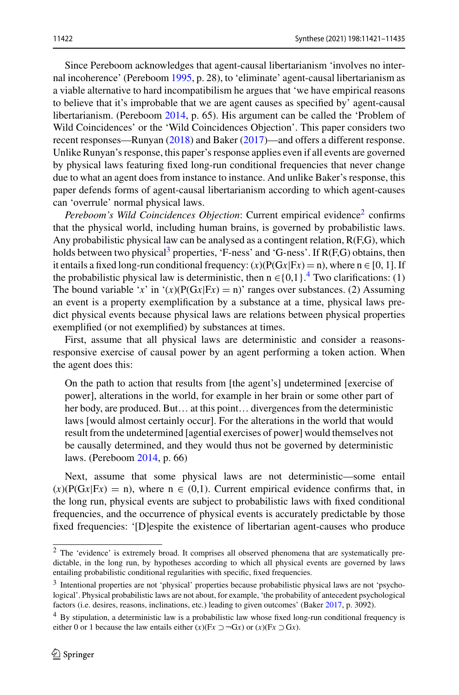Since Pereboom acknowledges that agent-causal libertarianism 'involves no internal incoherence' (Pereboom [1995,](#page-14-0) p. 28), to 'eliminate' agent-causal libertarianism as a viable alternative to hard incompatibilism he argues that 'we have empirical reasons to believe that it's improbable that we are agent causes as specified by' agent-causal libertarianism. (Pereboom [2014,](#page-14-1) p. 65). His argument can be called the 'Problem of Wild Coincidences' or the 'Wild Coincidences Objection'. This paper considers two recent responses—Runyan [\(2018\)](#page-14-2) and Baker [\(2017\)](#page-14-3)—and offers a different response. Unlike Runyan's response, this paper's response applies even if all events are governed by physical laws featuring fixed long-run conditional frequencies that never change due to what an agent does from instance to instance. And unlike Baker's response, this paper defends forms of agent-causal libertarianism according to which agent-causes can 'overrule' normal physical laws.

*Pereboom's Wild Coincidences Objection*: Current empirical evidence<sup>2</sup> confirms that the physical world, including human brains, is governed by probabilistic laws. Any probabilistic physical law can be analysed as a contingent relation, R(F,G), which holds between two physical<sup>[3](#page-1-1)</sup> properties, 'F-ness' and 'G-ness'. If  $R(F,G)$  obtains, then it entails a fixed long-run conditional frequency:  $(x)(P(Gx|Fx) = n)$ , where  $n \in [0, 1]$ . If the probabilistic physical law is deterministic, then  $n \in \{0,1\}$ .<sup>[4](#page-1-2)</sup> Two clarifications: (1) The bound variable '*x*' in '(*x*)( $P(Gx|Fx) = n$ )' ranges over substances. (2) Assuming an event is a property exemplification by a substance at a time, physical laws predict physical events because physical laws are relations between physical properties exemplified (or not exemplified) by substances at times.

First, assume that all physical laws are deterministic and consider a reasonsresponsive exercise of causal power by an agent performing a token action. When the agent does this:

On the path to action that results from [the agent's] undetermined [exercise of power], alterations in the world, for example in her brain or some other part of her body, are produced. But… at this point… divergences from the deterministic laws [would almost certainly occur]. For the alterations in the world that would result from the undetermined [agential exercises of power] would themselves not be causally determined, and they would thus not be governed by deterministic laws. (Pereboom [2014,](#page-14-1) p. 66)

Next, assume that some physical laws are not deterministic—some entail  $(x)(P(Gx|Fx) = n)$ , where  $n \in (0,1)$ . Current empirical evidence confirms that, in the long run, physical events are subject to probabilistic laws with fixed conditional frequencies, and the occurrence of physical events is accurately predictable by those fixed frequencies: '[D]espite the existence of libertarian agent-causes who produce

<span id="page-1-0"></span><sup>&</sup>lt;sup>2</sup> The 'evidence' is extremely broad. It comprises all observed phenomena that are systematically predictable, in the long run, by hypotheses according to which all physical events are governed by laws entailing probabilistic conditional regularities with specific, fixed frequencies.

<span id="page-1-1"></span><sup>3</sup> Intentional properties are not 'physical' properties because probabilistic physical laws are not 'psychological'. Physical probabilistic laws are not about, for example, 'the probability of antecedent psychological factors (i.e. desires, reasons, inclinations, etc.) leading to given outcomes' (Baker [2017,](#page-14-3) p. 3092).

<span id="page-1-2"></span><sup>4</sup> By stipulation, a deterministic law is a probabilistic law whose fixed long-run conditional frequency is either 0 or 1 because the law entails either  $(x)(Fx \supset G(x))$  or  $(x)(Fx \supset Gx)$ .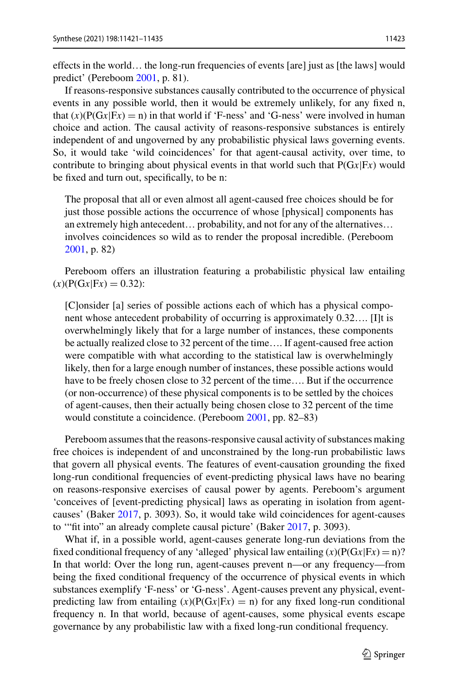effects in the world… the long-run frequencies of events [are] just as [the laws] would predict' (Pereboom [2001,](#page-14-4) p. 81).

If reasons-responsive substances causally contributed to the occurrence of physical events in any possible world, then it would be extremely unlikely, for any fixed n, that  $(x)(P(Gx|Fx) = n)$  in that world if 'F-ness' and 'G-ness' were involved in human choice and action. The causal activity of reasons-responsive substances is entirely independent of and ungoverned by any probabilistic physical laws governing events. So, it would take 'wild coincidences' for that agent-causal activity, over time, to contribute to bringing about physical events in that world such that P(G*x*|F*x*) would be fixed and turn out, specifically, to be n:

The proposal that all or even almost all agent-caused free choices should be for just those possible actions the occurrence of whose [physical] components has an extremely high antecedent… probability, and not for any of the alternatives… involves coincidences so wild as to render the proposal incredible. (Pereboom [2001,](#page-14-4) p. 82)

Pereboom offers an illustration featuring a probabilistic physical law entailing  $(x)$ (P(G $x$ |F $x$ ) = 0.32):

[C]onsider [a] series of possible actions each of which has a physical component whose antecedent probability of occurring is approximately 0.32…. [I]t is overwhelmingly likely that for a large number of instances, these components be actually realized close to 32 percent of the time…. If agent-caused free action were compatible with what according to the statistical law is overwhelmingly likely, then for a large enough number of instances, these possible actions would have to be freely chosen close to 32 percent of the time.... But if the occurrence (or non-occurrence) of these physical components is to be settled by the choices of agent-causes, then their actually being chosen close to 32 percent of the time would constitute a coincidence. (Pereboom [2001,](#page-14-4) pp. 82–83)

Pereboom assumes that the reasons-responsive causal activity of substances making free choices is independent of and unconstrained by the long-run probabilistic laws that govern all physical events. The features of event-causation grounding the fixed long-run conditional frequencies of event-predicting physical laws have no bearing on reasons-responsive exercises of causal power by agents. Pereboom's argument 'conceives of [event-predicting physical] laws as operating in isolation from agentcauses' (Baker [2017,](#page-14-3) p. 3093). So, it would take wild coincidences for agent-causes to '"fit into" an already complete causal picture' (Baker [2017,](#page-14-3) p. 3093).

What if, in a possible world, agent-causes generate long-run deviations from the fixed conditional frequency of any 'alleged' physical law entailing  $(x)(P(Gx|Fx) = n)$ ? In that world: Over the long run, agent-causes prevent n—or any frequency—from being the fixed conditional frequency of the occurrence of physical events in which substances exemplify 'F-ness' or 'G-ness'. Agent-causes prevent any physical, eventpredicting law from entailing  $(x)(P(Gx|Fx) = n)$  for any fixed long-run conditional frequency n. In that world, because of agent-causes, some physical events escape governance by any probabilistic law with a fixed long-run conditional frequency.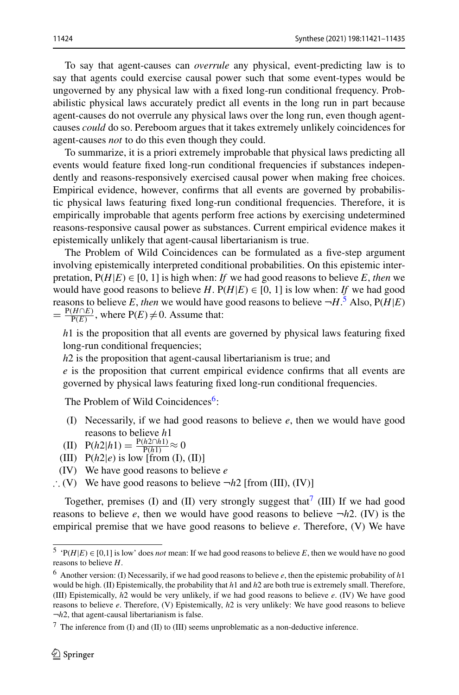To say that agent-causes can *overrule* any physical, event-predicting law is to say that agents could exercise causal power such that some event-types would be ungoverned by any physical law with a fixed long-run conditional frequency. Probabilistic physical laws accurately predict all events in the long run in part because agent-causes do not overrule any physical laws over the long run, even though agentcauses *could* do so. Pereboom argues that it takes extremely unlikely coincidences for agent-causes *not* to do this even though they could.

To summarize, it is a priori extremely improbable that physical laws predicting all events would feature fixed long-run conditional frequencies if substances independently and reasons-responsively exercised causal power when making free choices. Empirical evidence, however, confirms that all events are governed by probabilistic physical laws featuring fixed long-run conditional frequencies. Therefore, it is empirically improbable that agents perform free actions by exercising undetermined reasons-responsive causal power as substances. Current empirical evidence makes it epistemically unlikely that agent-causal libertarianism is true.

The Problem of Wild Coincidences can be formulated as a five-step argument involving epistemically interpreted conditional probabilities. On this epistemic interpretation,  $P(H|E) \in [0, 1]$  is high when: *If* we had good reasons to believe *E*, *then* we would have good reasons to believe *H*.  $P(H|E) \in [0, 1]$  is low when: *If* we had good reasons to believe *E*, *then* we would have good reasons to believe  $\neg H$ .<sup>[5](#page-3-0)</sup> Also,  $P(H|E)$  $=\frac{P(H \cap E)}{P(E)}$ , where  $P(E) \neq 0$ . Assume that:

*h*1 is the proposition that all events are governed by physical laws featuring fixed long-run conditional frequencies;

*h*2 is the proposition that agent-causal libertarianism is true; and

*e* is the proposition that current empirical evidence confirms that all events are governed by physical laws featuring fixed long-run conditional frequencies.

The Problem of Wild Coincidences<sup>6</sup>:

- (I) Necessarily, if we had good reasons to believe *e*, then we would have good reasons to believe *h*1
- $\text{(II)} \ \ \text{P}(h2|h1) = \frac{\text{P}(h2 \cap h1)}{\text{P}(h1)} \approx 0$
- (III)  $P(h2|e)$  is low [from (I), (II)]
- (IV) We have good reasons to believe *e*
- ∴ (V) We have good reasons to believe  $\neg h2$  [from (III), (IV)]

Together, premises (I) and (II) very strongly suggest that<sup>7</sup> (III) If we had good reasons to believe *e*, then we would have good reasons to believe  $\neg h2$ . (IV) is the empirical premise that we have good reasons to believe *e*. Therefore, (V) We have

<span id="page-3-1"></span><span id="page-3-0"></span><sup>&</sup>lt;sup>5</sup> 'P( $H|E$ )  $\in$  [0,1] is low' does *not* mean: If we had good reasons to believe *E*, then we would have no good reasons to believe *H*.

<sup>6</sup> Another version: (I) Necessarily, if we had good reasons to believe *e*, then the epistemic probability of *h*1 would be high. (II) Epistemically, the probability that *h*1 and *h*2 are both true is extremely small. Therefore, (III) Epistemically, *h*2 would be very unlikely, if we had good reasons to believe *e*. (IV) We have good reasons to believe *e*. Therefore, (V) Epistemically, *h*2 is very unlikely: We have good reasons to believe ¬*h*2, that agent-causal libertarianism is false.

<span id="page-3-2"></span> $\frac{7}{1}$  The inference from (I) and (II) to (III) seems unproblematic as a non-deductive inference.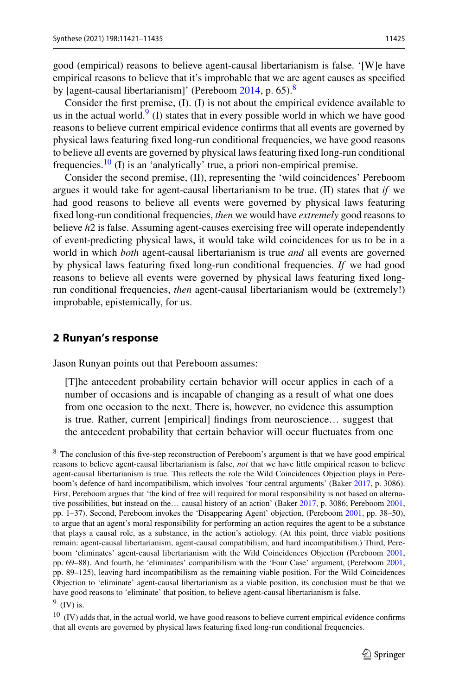good (empirical) reasons to believe agent-causal libertarianism is false. '[W]e have empirical reasons to believe that it's improbable that we are agent causes as specified by [agent-causal libertarianism]' (Pereboom [2014,](#page-14-1) p. 65).<sup>[8](#page-4-0)</sup>

Consider the first premise, (I). (I) is not about the empirical evidence available to us in the actual world. $9$  (I) states that in every possible world in which we have good reasons to believe current empirical evidence confirms that all events are governed by physical laws featuring fixed long-run conditional frequencies, we have good reasons to believe all events are governed by physical laws featuring fixed long-run conditional frequencies.<sup>10</sup> (I) is an 'analytically' true, a priori non-empirical premise.

Consider the second premise, (II), representing the 'wild coincidences' Pereboom argues it would take for agent-causal libertarianism to be true. (II) states that *if* we had good reasons to believe all events were governed by physical laws featuring fixed long-run conditional frequencies, *then* we would have *extremely* good reasons to believe *h*2 is false. Assuming agent-causes exercising free will operate independently of event-predicting physical laws, it would take wild coincidences for us to be in a world in which *both* agent-causal libertarianism is true *and* all events are governed by physical laws featuring fixed long-run conditional frequencies. *If* we had good reasons to believe all events were governed by physical laws featuring fixed longrun conditional frequencies, *then* agent-causal libertarianism would be (extremely!) improbable, epistemically, for us.

#### **2 Runyan's response**

Jason Runyan points out that Pereboom assumes:

[T]he antecedent probability certain behavior will occur applies in each of a number of occasions and is incapable of changing as a result of what one does from one occasion to the next. There is, however, no evidence this assumption is true. Rather, current [empirical] findings from neuroscience… suggest that the antecedent probability that certain behavior will occur fluctuates from one

<span id="page-4-2"></span><span id="page-4-1"></span> $9$  (IV) is.

<span id="page-4-0"></span><sup>&</sup>lt;sup>8</sup> The conclusion of this five-step reconstruction of Pereboom's argument is that we have good empirical reasons to believe agent-causal libertarianism is false, *not* that we have little empirical reason to believe agent-causal libertarianism is true. This reflects the role the Wild Coincidences Objection plays in Pereboom's defence of hard incompatibilism, which involves 'four central arguments' (Baker [2017,](#page-14-3) p. 3086). First, Pereboom argues that 'the kind of free will required for moral responsibility is not based on alternative possibilities, but instead on the… causal history of an action' (Baker [2017,](#page-14-3) p. 3086; Pereboom [2001,](#page-14-4) pp. 1–37). Second, Pereboom invokes the 'Disappearing Agent' objection, (Pereboom [2001,](#page-14-4) pp. 38–50), to argue that an agent's moral responsibility for performing an action requires the agent to be a substance that plays a causal role, as a substance, in the action's aetiology. (At this point, three viable positions remain: agent-causal libertarianism, agent-causal compatibilism, and hard incompatibilism.) Third, Pereboom 'eliminates' agent-causal libertarianism with the Wild Coincidences Objection (Pereboom [2001,](#page-14-4) pp. 69–88). And fourth, he 'eliminates' compatibilism with the 'Four Case' argument, (Pereboom [2001,](#page-14-4) pp. 89–125), leaving hard incompatibilism as the remaining viable position. For the Wild Coincidences Objection to 'eliminate' agent-causal libertarianism as a viable position, its conclusion must be that we have good reasons to 'eliminate' that position, to believe agent-causal libertarianism is false.

 $10$  (IV) adds that, in the actual world, we have good reasons to believe current empirical evidence confirms that all events are governed by physical laws featuring fixed long-run conditional frequencies.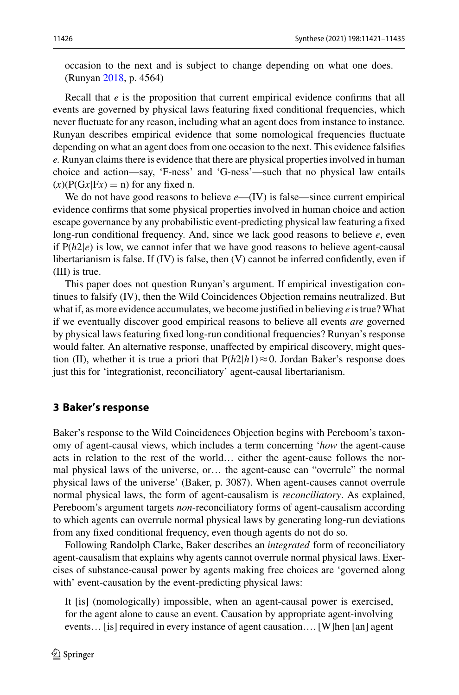occasion to the next and is subject to change depending on what one does. (Runyan [2018,](#page-14-2) p. 4564)

Recall that *e* is the proposition that current empirical evidence confirms that all events are governed by physical laws featuring fixed conditional frequencies, which never fluctuate for any reason, including what an agent does from instance to instance. Runyan describes empirical evidence that some nomological frequencies fluctuate depending on what an agent does from one occasion to the next. This evidence falsifies *e.* Runyan claims there is evidence that there are physical properties involved in human choice and action—say, 'F-ness' and 'G-ness'—such that no physical law entails  $(x)(P(Gx|Fx) = n)$  for any fixed n.

We do not have good reasons to believe *e*—(IV) is false—since current empirical evidence confirms that some physical properties involved in human choice and action escape governance by any probabilistic event-predicting physical law featuring a fixed long-run conditional frequency. And, since we lack good reasons to believe *e*, even if  $P(h2|e)$  is low, we cannot infer that we have good reasons to believe agent-causal libertarianism is false. If (IV) is false, then (V) cannot be inferred confidently, even if (III) is true.

This paper does not question Runyan's argument. If empirical investigation continues to falsify (IV), then the Wild Coincidences Objection remains neutralized. But what if, as more evidence accumulates, we become justified in believing *e* is true?What if we eventually discover good empirical reasons to believe all events *are* governed by physical laws featuring fixed long-run conditional frequencies? Runyan's response would falter. An alternative response, unaffected by empirical discovery, might question (II), whether it is true a priori that  $P(h2|h1) \approx 0$ . Jordan Baker's response does just this for 'integrationist, reconciliatory' agent-causal libertarianism.

### <span id="page-5-0"></span>**3 Baker's response**

Baker's response to the Wild Coincidences Objection begins with Pereboom's taxonomy of agent-causal views, which includes a term concerning '*how* the agent-cause acts in relation to the rest of the world… either the agent-cause follows the normal physical laws of the universe, or… the agent-cause can "overrule" the normal physical laws of the universe' (Baker, p. 3087). When agent-causes cannot overrule normal physical laws, the form of agent-causalism is *reconciliatory*. As explained, Pereboom's argument targets *non*-reconciliatory forms of agent-causalism according to which agents can overrule normal physical laws by generating long-run deviations from any fixed conditional frequency, even though agents do not do so.

Following Randolph Clarke, Baker describes an *integrated* form of reconciliatory agent-causalism that explains why agents cannot overrule normal physical laws. Exercises of substance-causal power by agents making free choices are 'governed along with' event-causation by the event-predicting physical laws:

It [is] (nomologically) impossible, when an agent-causal power is exercised, for the agent alone to cause an event. Causation by appropriate agent-involving events… [is] required in every instance of agent causation…. [W]hen [an] agent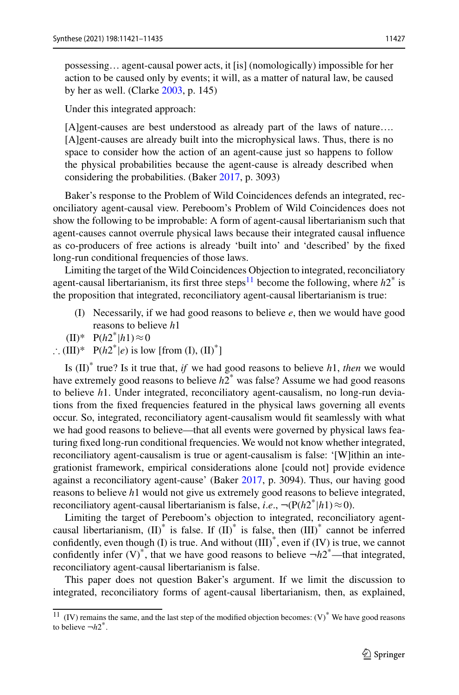possessing… agent-causal power acts, it [is] (nomologically) impossible for her action to be caused only by events; it will, as a matter of natural law, be caused by her as well. (Clarke [2003,](#page-14-5) p. 145)

Under this integrated approach:

[A]gent-causes are best understood as already part of the laws of nature…. [A]gent-causes are already built into the microphysical laws. Thus, there is no space to consider how the action of an agent-cause just so happens to follow the physical probabilities because the agent-cause is already described when considering the probabilities. (Baker [2017,](#page-14-3) p. 3093)

Baker's response to the Problem of Wild Coincidences defends an integrated, reconciliatory agent-causal view. Pereboom's Problem of Wild Coincidences does not show the following to be improbable: A form of agent-causal libertarianism such that agent-causes cannot overrule physical laws because their integrated causal influence as co-producers of free actions is already 'built into' and 'described' by the fixed long-run conditional frequencies of those laws.

Limiting the target of the Wild Coincidences Objection to integrated, reconciliatory agent-causal libertarianism, its first three steps<sup>[11](#page-6-0)</sup> become the following, where  $h2^*$  is the proposition that integrated, reconciliatory agent-causal libertarianism is true:

- (I) Necessarily, if we had good reasons to believe *e*, then we would have good reasons to believe *h*1
- $(H)*$  P( $h2^*|h1) \approx 0$
- ∴ (III)\*  $P(h2^*|e)$  is low [from (I), (II)<sup>\*</sup>]

Is (II)\* true? Is it true that, *if* we had good reasons to believe *h*1, *then* we would have extremely good reasons to believe *h*2\* was false? Assume we had good reasons to believe *h*1. Under integrated, reconciliatory agent-causalism, no long-run deviations from the fixed frequencies featured in the physical laws governing all events occur. So, integrated, reconciliatory agent-causalism would fit seamlessly with what we had good reasons to believe—that all events were governed by physical laws featuring fixed long-run conditional frequencies. We would not know whether integrated, reconciliatory agent-causalism is true or agent-causalism is false: '[W]ithin an integrationist framework, empirical considerations alone [could not] provide evidence against a reconciliatory agent-cause' (Baker [2017,](#page-14-3) p. 3094). Thus, our having good reasons to believe *h*1 would not give us extremely good reasons to believe integrated, reconciliatory agent-causal libertarianism is false, *i.e.*,  $\neg (P(h2^*|h1) \approx 0)$ .

Limiting the target of Pereboom's objection to integrated, reconciliatory agentcausal libertarianism,  $(II)^*$  is false. If  $(II)^*$  is false, then  $(III)^*$  cannot be inferred confidently, even though (I) is true. And without  $(III)^*$ , even if  $(IV)$  is true, we cannot confidently infer  $(V)^*$ , that we have good reasons to believe  $-h2^*$ —that integrated, reconciliatory agent-causal libertarianism is false.

This paper does not question Baker's argument. If we limit the discussion to integrated, reconciliatory forms of agent-causal libertarianism, then, as explained,

<span id="page-6-0"></span><sup>&</sup>lt;sup>11</sup> (IV) remains the same, and the last step of the modified objection becomes:  $(V)^*$  We have good reasons to believe  $-h2^*$ .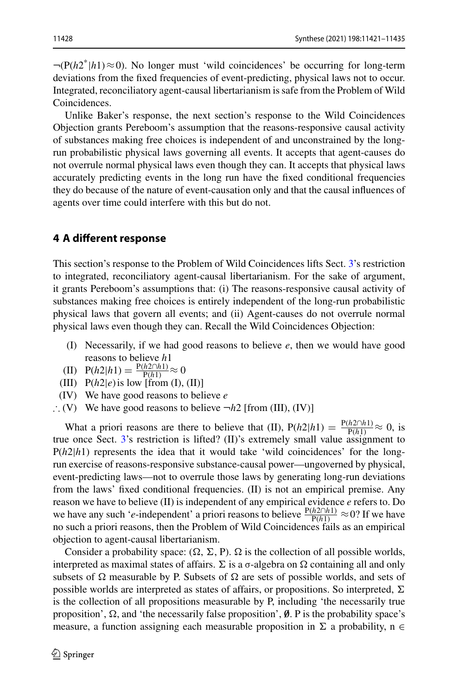$\neg (P(h2^*|h1) \approx 0)$ . No longer must 'wild coincidences' be occurring for long-term deviations from the fixed frequencies of event-predicting, physical laws not to occur. Integrated, reconciliatory agent-causal libertarianism is safe from the Problem of Wild Coincidences.

Unlike Baker's response, the next section's response to the Wild Coincidences Objection grants Pereboom's assumption that the reasons-responsive causal activity of substances making free choices is independent of and unconstrained by the longrun probabilistic physical laws governing all events. It accepts that agent-causes do not overrule normal physical laws even though they can. It accepts that physical laws accurately predicting events in the long run have the fixed conditional frequencies they do because of the nature of event-causation only and that the causal influences of agents over time could interfere with this but do not.

## **4 A different response**

This section's response to the Problem of Wild Coincidences lifts Sect. [3'](#page-5-0)s restriction to integrated, reconciliatory agent-causal libertarianism. For the sake of argument, it grants Pereboom's assumptions that: (i) The reasons-responsive causal activity of substances making free choices is entirely independent of the long-run probabilistic physical laws that govern all events; and (ii) Agent-causes do not overrule normal physical laws even though they can. Recall the Wild Coincidences Objection:

- (I) Necessarily, if we had good reasons to believe *e*, then we would have good reasons to believe *h*1
- $\text{(II)}$  P(*h*2|*h*1) =  $\frac{\text{P}(h2 \cap h1)}{\text{P}(h1)}$  ≈ 0
- (III)  $P(h2|e)$  is low [from (I), (II)]
- (IV) We have good reasons to believe *e*
- ∴ (V) We have good reasons to believe ¬*h*2 [from (III), (IV)]

What a priori reasons are there to believe that (II),  $P(h2|h1) = \frac{P(h2 \cap h1)}{P(h1)} \approx 0$ , is true once Sect. [3'](#page-5-0)s restriction is lifted? (II)'s extremely small value assignment to P(*h*2|*h*1) represents the idea that it would take 'wild coincidences' for the longrun exercise of reasons-responsive substance-causal power—ungoverned by physical, event-predicting laws—not to overrule those laws by generating long-run deviations from the laws' fixed conditional frequencies. (II) is not an empirical premise. Any reason we have to believe (II) is independent of any empirical evidence *e* refers to. Do we have any such '*e*-independent' a priori reasons to believe  $\frac{P(h2 \cap h1)}{P(h1)} \approx 0$ ? If we have no such a priori reasons, then the Problem of Wild Coincidences fails as an empirical objection to agent-causal libertarianism.

Consider a probability space:  $(\Omega, \Sigma, P)$ .  $\Omega$  is the collection of all possible worlds, interpreted as maximal states of affairs.  $\Sigma$  is a  $\sigma$ -algebra on  $\Omega$  containing all and only subsets of  $\Omega$  measurable by P. Subsets of  $\Omega$  are sets of possible worlds, and sets of possible worlds are interpreted as states of affairs, or propositions. So interpreted,  $\Sigma$ is the collection of all propositions measurable by P, including 'the necessarily true proposition',  $\Omega$ , and 'the necessarily false proposition',  $\emptyset$ . P is the probability space's measure, a function assigning each measurable proposition in  $\Sigma$  a probability, n  $\in$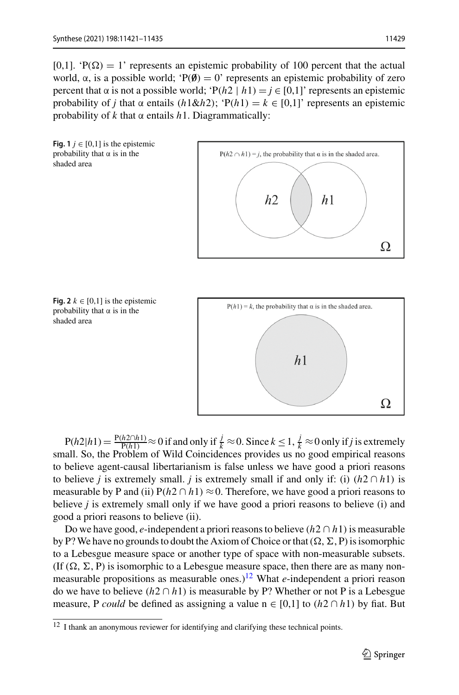[0,1]. ' $P(\Omega) = 1$ ' represents an epistemic probability of 100 percent that the actual world,  $\alpha$ , is a possible world; ' $P(\emptyset) = 0$ ' represents an epistemic probability of zero percent that  $\alpha$  is not a possible world; ' $P(h2 \mid h1) = j \in [0,1]$ ' represents an epistemic probability of *j* that  $\alpha$  entails ( $h1\&h2$ ); 'P( $h1$ ) =  $k \in [0,1]$ ' represents an epistemic probability of *k* that α entails *h*1. Diagrammatically:

<span id="page-8-1"></span>



<span id="page-8-2"></span>



 $P(h2|h1) = \frac{P(h2 \cap h1)}{P(h1)} \approx 0$  if and only if  $\frac{1}{k} \approx 0$ . Since  $k \le 1$ ,  $\frac{1}{k} \approx 0$  only if *j* is extremely small. So, the Problem of Wild Coincidences provides us no good empirical reasons to believe agent-causal libertarianism is false unless we have good a priori reasons to believe *j* is extremely small. *j* is extremely small if and only if: (i)  $(h2 \cap h1)$  is measurable by P and (ii)  $P(h2 \cap h1) \approx 0$ . Therefore, we have good a priori reasons to believe *j* is extremely small only if we have good a priori reasons to believe (i) and good a priori reasons to believe (ii).

Do we have good, *e*-independent a priori reasons to believe  $(h2 \cap h1)$  is measurable by P? We have no grounds to doubt the Axiom of Choice or that  $(\Omega, \Sigma, P)$  is isomorphic to a Lebesgue measure space or another type of space with non-measurable subsets. (If  $(\Omega, \Sigma, P)$  is isomorphic to a Lebesgue measure space, then there are as many nonmeasurable propositions as measurable ones.)<sup>12</sup> What  $e$ -independent a priori reason do we have to believe  $(h2 \cap h1)$  is measurable by P? Whether or not P is a Lebesgue measure, P *could* be defined as assigning a value  $n \in [0,1]$  to  $(h2 \cap h1)$  by fiat. But

<span id="page-8-0"></span><sup>&</sup>lt;sup>12</sup> I thank an anonymous reviewer for identifying and clarifying these technical points.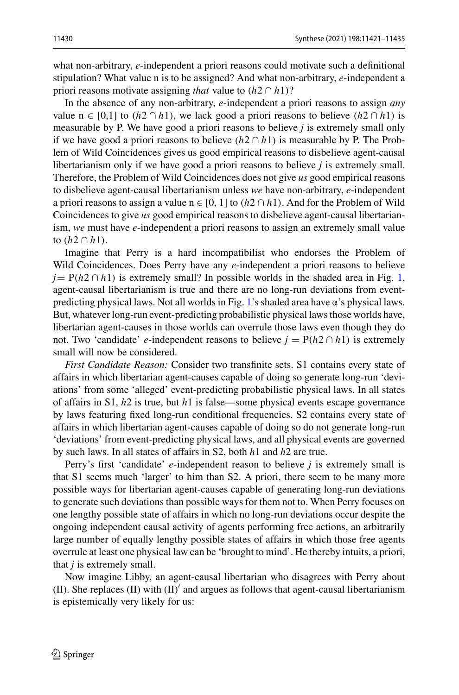what non-arbitrary, *e*-independent a priori reasons could motivate such a definitional stipulation? What value n is to be assigned? And what non-arbitrary, *e*-independent a priori reasons motivate assigning *that* value to  $(h2 \cap h1)$ ?

In the absence of any non-arbitrary, *e*-independent a priori reasons to assign *any* value n ∈ [0,1] to  $(h2 \cap h1)$ , we lack good a priori reasons to believe  $(h2 \cap h1)$  is measurable by P. We have good a priori reasons to believe *j* is extremely small only if we have good a priori reasons to believe  $(h2 \cap h1)$  is measurable by P. The Problem of Wild Coincidences gives us good empirical reasons to disbelieve agent-causal libertarianism only if we have good a priori reasons to believe *j* is extremely small. Therefore, the Problem of Wild Coincidences does not give *us* good empirical reasons to disbelieve agent-causal libertarianism unless *we* have non-arbitrary, *e*-independent a priori reasons to assign a value  $n \in [0, 1]$  to  $(h2 \cap h1)$ . And for the Problem of Wild Coincidences to give *us* good empirical reasons to disbelieve agent-causal libertarianism, *we* must have *e*-independent a priori reasons to assign an extremely small value to (*h*2 ∩ *h*1).

Imagine that Perry is a hard incompatibilist who endorses the Problem of Wild Coincidences. Does Perry have any *e*-independent a priori reasons to believe  $j = P(h2 \cap h1)$  is extremely small? In possible worlds in the shaded area in Fig. [1,](#page-8-1) agent-causal libertarianism is true and there are no long-run deviations from event-predicting physical laws. Not all worlds in Fig. [1'](#page-8-1)s shaded area have  $\alpha$ 's physical laws. But, whatever long-run event-predicting probabilistic physical laws those worlds have, libertarian agent-causes in those worlds can overrule those laws even though they do not. Two 'candidate' *e*-independent reasons to believe  $j = P(h \cdot 2 \cap h \cdot 1)$  is extremely small will now be considered.

*First Candidate Reason:* Consider two transfinite sets. S1 contains every state of affairs in which libertarian agent-causes capable of doing so generate long-run 'deviations' from some 'alleged' event-predicting probabilistic physical laws. In all states of affairs in S1, *h*2 is true, but *h*1 is false—some physical events escape governance by laws featuring fixed long-run conditional frequencies. S2 contains every state of affairs in which libertarian agent-causes capable of doing so do not generate long-run 'deviations' from event-predicting physical laws, and all physical events are governed by such laws. In all states of affairs in S2, both *h*1 and *h*2 are true.

Perry's first 'candidate' *e*-independent reason to believe *j* is extremely small is that S1 seems much 'larger' to him than S2. A priori, there seem to be many more possible ways for libertarian agent-causes capable of generating long-run deviations to generate such deviations than possible ways for them not to. When Perry focuses on one lengthy possible state of affairs in which no long-run deviations occur despite the ongoing independent causal activity of agents performing free actions, an arbitrarily large number of equally lengthy possible states of affairs in which those free agents overrule at least one physical law can be 'brought to mind'. He thereby intuits, a priori, that *j* is extremely small.

Now imagine Libby, an agent-causal libertarian who disagrees with Perry about (II). She replaces (II) with  $(II)'$  and argues as follows that agent-causal libertarianism is epistemically very likely for us: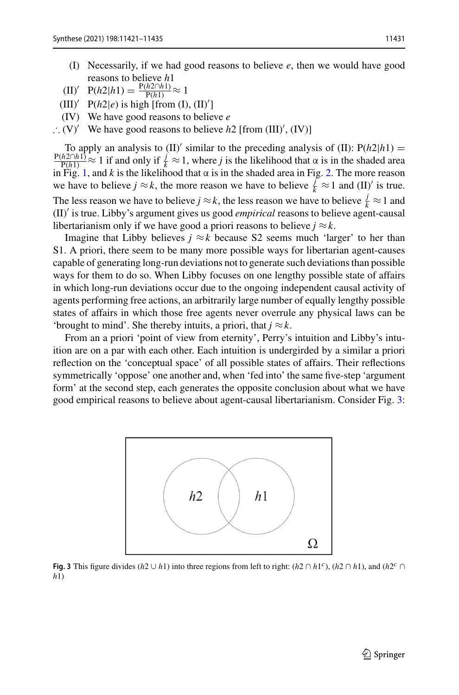- (I) Necessarily, if we had good reasons to believe *e*, then we would have good reasons to believe *h*1
- $(H)'$  P(*h*2|*h*1) =  $\frac{P(h2 \cap h1)}{P(h1)}$  ≈ 1
- $\text{(III)}' \quad \text{P}(h2|e) \text{ is high [from (I), (II)']}$
- (IV) We have good reasons to believe *e*
- ∴ (V)<sup> $\prime$ </sup> We have good reasons to believe *h*2 [from (III)<sup>'</sup>, (IV)]

To apply an analysis to (II)' similar to the preceding analysis of (II):  $P(h2|h1) =$  $\frac{P(h2 \cap h1)}{P(h1)} \approx 1$  if and only if  $\frac{j}{k} \approx 1$ , where *j* is the likelihood that  $\alpha$  is in the shaded area in Fig. [1,](#page-8-1) and *k* is the likelihood that  $\alpha$  is in the shaded area in Fig. [2.](#page-8-2) The more reason we have to believe  $j \approx k$ , the more reason we have to believe  $\frac{j}{k} \approx 1$  and (II)<sup>'</sup> is true. The less reason we have to believe *j*  $\approx k$ , the less reason we have to believe  $\frac{j}{k} \approx 1$  and (II) is true. Libby's argument gives us good *empirical* reasons to believe agent-causal libertarianism only if we have good a priori reasons to believe  $j \approx k$ .

Imagine that Libby believes  $j \approx k$  because S2 seems much 'larger' to her than S1. A priori, there seem to be many more possible ways for libertarian agent-causes capable of generating long-run deviations not to generate such deviations than possible ways for them to do so. When Libby focuses on one lengthy possible state of affairs in which long-run deviations occur due to the ongoing independent causal activity of agents performing free actions, an arbitrarily large number of equally lengthy possible states of affairs in which those free agents never overrule any physical laws can be 'brought to mind'. She thereby intuits, a priori, that  $j \approx k$ .

From an a priori 'point of view from eternity', Perry's intuition and Libby's intuition are on a par with each other. Each intuition is undergirded by a similar a priori reflection on the 'conceptual space' of all possible states of affairs. Their reflections symmetrically 'oppose' one another and, when 'fed into' the same five-step 'argument form' at the second step, each generates the opposite conclusion about what we have good empirical reasons to believe about agent-causal libertarianism. Consider Fig. [3:](#page-10-0)



<span id="page-10-0"></span>**Fig. 3** This figure divides ( $h2 \cup h1$ ) into three regions from left to right: ( $h2 \cap h1^c$ ), ( $h2 \cap h1$ ), and ( $h2^c \cap h1$ ) *h*1)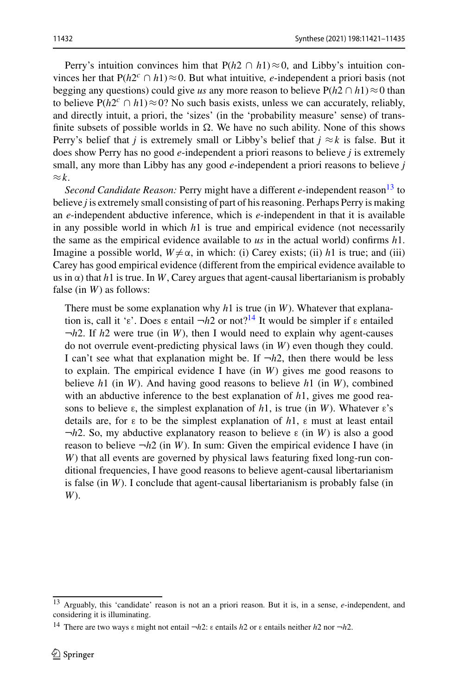Perry's intuition convinces him that  $P(h2 \cap h1) \approx 0$ , and Libby's intuition convinces her that  $P(h2^c \cap h1) \approx 0$ . But what intuitive, *e*-independent a priori basis (not begging any questions) could give *us* any more reason to believe  $P(h2 \cap h1) \approx 0$  than to believe  $P(h2^c \cap h1) \approx 0$ ? No such basis exists, unless we can accurately, reliably, and directly intuit, a priori, the 'sizes' (in the 'probability measure' sense) of transfinite subsets of possible worlds in  $\Omega$ . We have no such ability. None of this shows Perry's belief that *j* is extremely small or Libby's belief that  $j \approx k$  is false. But it does show Perry has no good *e*-independent a priori reasons to believe *j* is extremely small, any more than Libby has any good *e*-independent a priori reasons to believe *j* ≈*k*.

*Second Candidate Reason:* Perry might have a different *e*-independent reason<sup>13</sup> to believe *j* is extremely small consisting of part of his reasoning. Perhaps Perry is making an *e*-independent abductive inference, which is *e*-independent in that it is available in any possible world in which *h*1 is true and empirical evidence (not necessarily the same as the empirical evidence available to *us* in the actual world) confirms *h*1. Imagine a possible world,  $W \neq \alpha$ , in which: (i) Carey exists; (ii) *h*1 is true; and (iii) Carey has good empirical evidence (different from the empirical evidence available to us in  $\alpha$ ) that *h*1 is true. In *W*, Carey argues that agent-causal libertarianism is probably false (in *W*) as follows:

There must be some explanation why *h*1 is true (in *W*). Whatever that explanation is, call it 'ε'. Does ε entail  $-h2$  or not?<sup>14</sup> It would be simpler if ε entailed ¬*h*2. If *h*2 were true (in *W*), then I would need to explain why agent-causes do not overrule event-predicting physical laws (in *W*) even though they could. I can't see what that explanation might be. If  $\neg h2$ , then there would be less to explain. The empirical evidence I have (in *W*) gives me good reasons to believe *h*1 (in *W*). And having good reasons to believe *h*1 (in *W*), combined with an abductive inference to the best explanation of *h*1, gives me good reasons to believe ε, the simplest explanation of *h*1, is true (in *W*). Whatever ε's details are, for ε to be the simplest explanation of *h*1, ε must at least entail ¬*h*2. So, my abductive explanatory reason to believe ε (in *W*) is also a good reason to believe  $\neg h2$  (in *W*). In sum: Given the empirical evidence I have (in *W*) that all events are governed by physical laws featuring fixed long-run conditional frequencies, I have good reasons to believe agent-causal libertarianism is false (in *W*). I conclude that agent-causal libertarianism is probably false (in *W*).

<span id="page-11-1"></span><span id="page-11-0"></span><sup>13</sup> Arguably, this 'candidate' reason is not an a priori reason. But it is, in a sense, *e*-independent, and considering it is illuminating.

<sup>14</sup> There are two ways <sup>ε</sup> might not entail <sup>¬</sup>*h*2: <sup>ε</sup> entails *<sup>h</sup>*2 or <sup>ε</sup> entails neither *<sup>h</sup>*2 nor <sup>¬</sup>*h*2.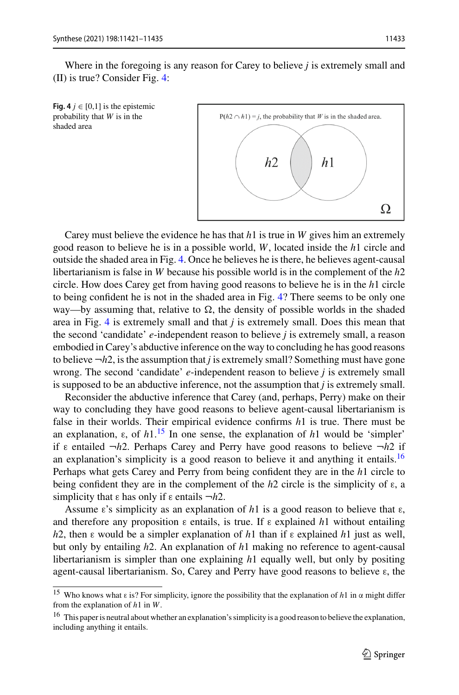Where in the foregoing is any reason for Carey to believe *j* is extremely small and (II) is true? Consider Fig. [4:](#page-12-0)

<span id="page-12-0"></span>



Carey must believe the evidence he has that *h*1 is true in *W* gives him an extremely good reason to believe he is in a possible world, *W*, located inside the *h*1 circle and outside the shaded area in Fig. [4.](#page-12-0) Once he believes he is there, he believes agent-causal libertarianism is false in *W* because his possible world is in the complement of the *h*2 circle. How does Carey get from having good reasons to believe he is in the *h*1 circle to being confident he is not in the shaded area in Fig. [4?](#page-12-0) There seems to be only one way—by assuming that, relative to  $\Omega$ , the density of possible worlds in the shaded area in Fig. [4](#page-12-0) is extremely small and that *j* is extremely small. Does this mean that the second 'candidate' *e*-independent reason to believe *j* is extremely small, a reason embodied in Carey's abductive inference on the way to concluding he has good reasons to believe  $\neg h2$ , is the assumption that *j* is extremely small? Something must have gone wrong. The second 'candidate' *e*-independent reason to believe *j* is extremely small is supposed to be an abductive inference, not the assumption that *j* is extremely small.

Reconsider the abductive inference that Carey (and, perhaps, Perry) make on their way to concluding they have good reasons to believe agent-causal libertarianism is false in their worlds. Their empirical evidence confirms *h*1 is true. There must be an explanation,  $\varepsilon$ , of  $h1$ .<sup>15</sup> In one sense, the explanation of  $h1$  would be 'simpler' if ε entailed ¬*h*2. Perhaps Carey and Perry have good reasons to believe ¬*h*2 if an explanation's simplicity is a good reason to believe it and anything it entails.<sup>16</sup> Perhaps what gets Carey and Perry from being confident they are in the *h*1 circle to being confident they are in the complement of the *h*2 circle is the simplicity of ε, a simplicity that ε has only if ε entails ¬*h*2.

Assume  $\varepsilon$ 's simplicity as an explanation of h<sub>1</sub> is a good reason to believe that  $\varepsilon$ , and therefore any proposition  $\varepsilon$  entails, is true. If  $\varepsilon$  explained *h*1 without entailing *h*2, then ε would be a simpler explanation of *h*1 than if ε explained *h*1 just as well, but only by entailing *h*2. An explanation of *h*1 making no reference to agent-causal libertarianism is simpler than one explaining *h*1 equally well, but only by positing agent-causal libertarianism. So, Carey and Perry have good reasons to believe ε, the

<span id="page-12-2"></span><span id="page-12-1"></span><sup>15</sup> Who knows what ε is? For simplicity, ignore the possibility that the explanation of *h*1 in α might differ from the explanation of *h*1 in *W*.

<sup>&</sup>lt;sup>16</sup> This paper is neutral about whether an explanation's simplicity is a good reason to believe the explanation, including anything it entails.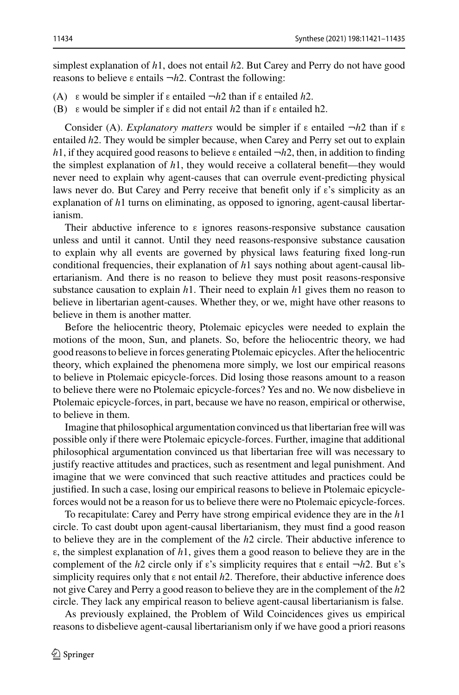simplest explanation of *h*1, does not entail *h*2. But Carey and Perry do not have good reasons to believe ε entails ¬*h*2. Contrast the following:

- (A) ε would be simpler if ε entailed ¬*h*2 than if ε entailed *h*2.
- (B) ε would be simpler if ε did not entail *h*2 than if ε entailed h2.

Consider (A). *Explanatory matters* would be simpler if ε entailed ¬*h*2 than if ε entailed *h*2. They would be simpler because, when Carey and Perry set out to explain *h*1, if they acquired good reasons to believe  $\varepsilon$  entailed  $\neg h2$ , then, in addition to finding the simplest explanation of  $h1$ , they would receive a collateral benefit—they would never need to explain why agent-causes that can overrule event-predicting physical laws never do. But Carey and Perry receive that benefit only if  $\varepsilon$ 's simplicity as an explanation of *h*1 turns on eliminating, as opposed to ignoring, agent-causal libertarianism.

Their abductive inference to  $\varepsilon$  ignores reasons-responsive substance causation unless and until it cannot. Until they need reasons-responsive substance causation to explain why all events are governed by physical laws featuring fixed long-run conditional frequencies, their explanation of *h*1 says nothing about agent-causal libertarianism. And there is no reason to believe they must posit reasons-responsive substance causation to explain *h*1. Their need to explain *h*1 gives them no reason to believe in libertarian agent-causes. Whether they, or we, might have other reasons to believe in them is another matter.

Before the heliocentric theory, Ptolemaic epicycles were needed to explain the motions of the moon, Sun, and planets. So, before the heliocentric theory, we had good reasons to believe in forces generating Ptolemaic epicycles. After the heliocentric theory, which explained the phenomena more simply, we lost our empirical reasons to believe in Ptolemaic epicycle-forces. Did losing those reasons amount to a reason to believe there were no Ptolemaic epicycle-forces? Yes and no. We now disbelieve in Ptolemaic epicycle-forces, in part, because we have no reason, empirical or otherwise, to believe in them.

Imagine that philosophical argumentation convinced us that libertarian free will was possible only if there were Ptolemaic epicycle-forces. Further, imagine that additional philosophical argumentation convinced us that libertarian free will was necessary to justify reactive attitudes and practices, such as resentment and legal punishment. And imagine that we were convinced that such reactive attitudes and practices could be justified. In such a case, losing our empirical reasons to believe in Ptolemaic epicycleforces would not be a reason for us to believe there were no Ptolemaic epicycle-forces.

To recapitulate: Carey and Perry have strong empirical evidence they are in the *h*1 circle. To cast doubt upon agent-causal libertarianism, they must find a good reason to believe they are in the complement of the *h*2 circle. Their abductive inference to ε, the simplest explanation of *h*1, gives them a good reason to believe they are in the complement of the *h*2 circle only if ε's simplicity requires that ε entail ¬*h*2. But ε's simplicity requires only that ε not entail *h*2. Therefore, their abductive inference does not give Carey and Perry a good reason to believe they are in the complement of the *h*2 circle. They lack any empirical reason to believe agent-causal libertarianism is false.

As previously explained, the Problem of Wild Coincidences gives us empirical reasons to disbelieve agent-causal libertarianism only if we have good a priori reasons